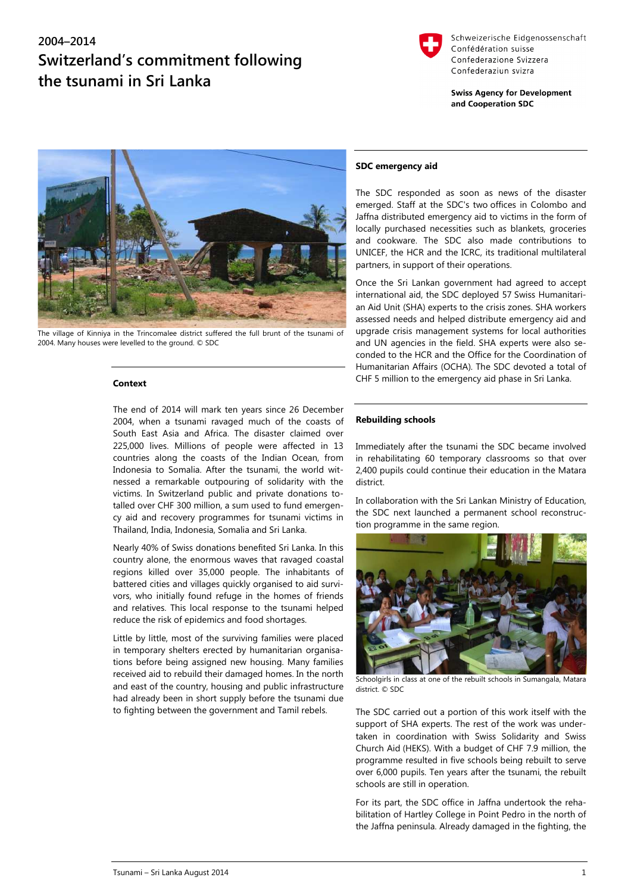# **2004–2014 Switzerland's commitment following the tsunami in Sri Lanka**



Schweizerische Eidgenossenschaft Confédération suisse Confederazione Svizzera Confederaziun svizra

**Swiss Agency for Development** and Cooperation SDC



The village of Kinniya in the Trincomalee district suffered the full brunt of the tsunami of 2004. Many houses were levelled to the ground. © SDC

#### **Context**

The end of 2014 will mark ten years since 26 December 2004, when a tsunami ravaged much of the coasts of South East Asia and Africa. The disaster claimed over 225,000 lives. Millions of people were affected in 13 countries along the coasts of the Indian Ocean, from Indonesia to Somalia. After the tsunami, the world witnessed a remarkable outpouring of solidarity with the victims. In Switzerland public and private donations totalled over CHF 300 million, a sum used to fund emergency aid and recovery programmes for tsunami victims in Thailand, India, Indonesia, Somalia and Sri Lanka.

Nearly 40% of Swiss donations benefited Sri Lanka. In this country alone, the enormous waves that ravaged coastal regions killed over 35,000 people. The inhabitants of battered cities and villages quickly organised to aid survivors, who initially found refuge in the homes of friends and relatives. This local response to the tsunami helped reduce the risk of epidemics and food shortages.

Little by little, most of the surviving families were placed in temporary shelters erected by humanitarian organisations before being assigned new housing. Many families received aid to rebuild their damaged homes. In the north and east of the country, housing and public infrastructure had already been in short supply before the tsunami due to fighting between the government and Tamil rebels.

#### **SDC emergency aid**

The SDC responded as soon as news of the disaster emerged. Staff at the SDC's two offices in Colombo and Jaffna distributed emergency aid to victims in the form of locally purchased necessities such as blankets, groceries and cookware. The SDC also made contributions to UNICEF, the HCR and the ICRC, its traditional multilateral partners, in support of their operations.

Once the Sri Lankan government had agreed to accept international aid, the SDC deployed 57 Swiss Humanitarian Aid Unit (SHA) experts to the crisis zones. SHA workers assessed needs and helped distribute emergency aid and upgrade crisis management systems for local authorities and UN agencies in the field. SHA experts were also seconded to the HCR and the Office for the Coordination of Humanitarian Affairs (OCHA). The SDC devoted a total of CHF 5 million to the emergency aid phase in Sri Lanka.

#### **Rebuilding schools**

Immediately after the tsunami the SDC became involved in rehabilitating 60 temporary classrooms so that over 2,400 pupils could continue their education in the Matara district.

In collaboration with the Sri Lankan Ministry of Education, the SDC next launched a permanent school reconstruction programme in the same region.



Schoolgirls in class at one of the rebuilt schools in Sumangala, Matara district. © SDC

The SDC carried out a portion of this work itself with the support of SHA experts. The rest of the work was undertaken in coordination with Swiss Solidarity and Swiss Church Aid (HEKS). With a budget of CHF 7.9 million, the programme resulted in five schools being rebuilt to serve over 6,000 pupils. Ten years after the tsunami, the rebuilt schools are still in operation.

For its part, the SDC office in Jaffna undertook the rehabilitation of Hartley College in Point Pedro in the north of the Jaffna peninsula. Already damaged in the fighting, the